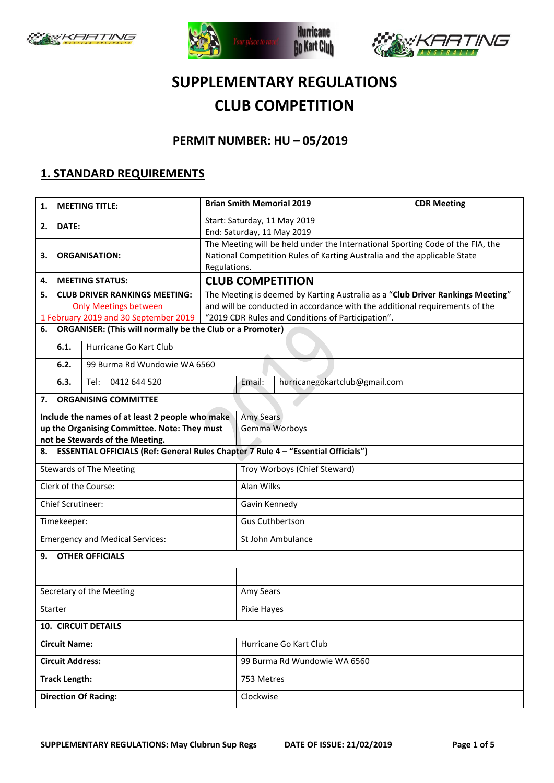





# **SUPPLEMENTARY REGULATIONS CLUB COMPETITION**

### **PERMIT NUMBER: HU – 05/2019**

#### **1. STANDARD REQUIREMENTS**

| <b>MEETING TITLE:</b><br>1.                                                                                                                                                                                                   |                                      |                                                                                                              |                                                                                          | <b>Brian Smith Memorial 2019</b>                                               | <b>CDR Meeting</b> |  |  |
|-------------------------------------------------------------------------------------------------------------------------------------------------------------------------------------------------------------------------------|--------------------------------------|--------------------------------------------------------------------------------------------------------------|------------------------------------------------------------------------------------------|--------------------------------------------------------------------------------|--------------------|--|--|
| DATE:<br>2.                                                                                                                                                                                                                   |                                      |                                                                                                              | Start: Saturday, 11 May 2019                                                             |                                                                                |                    |  |  |
|                                                                                                                                                                                                                               |                                      | End: Saturday, 11 May 2019<br>The Meeting will be held under the International Sporting Code of the FIA, the |                                                                                          |                                                                                |                    |  |  |
| <b>ORGANISATION:</b><br>з.                                                                                                                                                                                                    |                                      |                                                                                                              | National Competition Rules of Karting Australia and the applicable State<br>Regulations. |                                                                                |                    |  |  |
| 4.                                                                                                                                                                                                                            | <b>MEETING STATUS:</b>               |                                                                                                              |                                                                                          | <b>CLUB COMPETITION</b>                                                        |                    |  |  |
| 5.                                                                                                                                                                                                                            | <b>CLUB DRIVER RANKINGS MEETING:</b> |                                                                                                              |                                                                                          | The Meeting is deemed by Karting Australia as a "Club Driver Rankings Meeting" |                    |  |  |
| <b>Only Meetings between</b>                                                                                                                                                                                                  |                                      |                                                                                                              | and will be conducted in accordance with the additional requirements of the              |                                                                                |                    |  |  |
| 1 February 2019 and 30 September 2019<br><b>ORGANISER: (This will normally be the Club or a Promoter)</b><br>6.                                                                                                               |                                      |                                                                                                              | "2019 CDR Rules and Conditions of Participation".                                        |                                                                                |                    |  |  |
| 6.1.                                                                                                                                                                                                                          | Hurricane Go Kart Club               |                                                                                                              |                                                                                          |                                                                                |                    |  |  |
| 6.2.                                                                                                                                                                                                                          | 99 Burma Rd Wundowie WA 6560         |                                                                                                              |                                                                                          |                                                                                |                    |  |  |
| 6.3.                                                                                                                                                                                                                          | 0412 644 520<br>Tel:                 |                                                                                                              | Email:                                                                                   | hurricanegokartclub@gmail.com                                                  |                    |  |  |
| 7.                                                                                                                                                                                                                            | <b>ORGANISING COMMITTEE</b>          |                                                                                                              |                                                                                          |                                                                                |                    |  |  |
| Include the names of at least 2 people who make<br>up the Organising Committee. Note: They must<br>not be Stewards of the Meeting.<br>ESSENTIAL OFFICIALS (Ref: General Rules Chapter 7 Rule 4 - "Essential Officials")<br>8. |                                      |                                                                                                              | Amy Sears<br>Gemma Worboys                                                               |                                                                                |                    |  |  |
| <b>Stewards of The Meeting</b>                                                                                                                                                                                                |                                      |                                                                                                              | Troy Worboys (Chief Steward)                                                             |                                                                                |                    |  |  |
| Clerk of the Course:                                                                                                                                                                                                          |                                      |                                                                                                              | Alan Wilks                                                                               |                                                                                |                    |  |  |
| <b>Chief Scrutineer:</b>                                                                                                                                                                                                      |                                      |                                                                                                              | Gavin Kennedy                                                                            |                                                                                |                    |  |  |
| Timekeeper:                                                                                                                                                                                                                   |                                      |                                                                                                              | <b>Gus Cuthbertson</b>                                                                   |                                                                                |                    |  |  |
| <b>Emergency and Medical Services:</b>                                                                                                                                                                                        |                                      |                                                                                                              | St John Ambulance                                                                        |                                                                                |                    |  |  |
| <b>OTHER OFFICIALS</b><br>9.                                                                                                                                                                                                  |                                      |                                                                                                              |                                                                                          |                                                                                |                    |  |  |
|                                                                                                                                                                                                                               |                                      |                                                                                                              |                                                                                          |                                                                                |                    |  |  |
| Secretary of the Meeting                                                                                                                                                                                                      |                                      |                                                                                                              | Amy Sears                                                                                |                                                                                |                    |  |  |
| Starter                                                                                                                                                                                                                       |                                      |                                                                                                              | Pixie Hayes                                                                              |                                                                                |                    |  |  |
| <b>10. CIRCUIT DETAILS</b>                                                                                                                                                                                                    |                                      |                                                                                                              |                                                                                          |                                                                                |                    |  |  |
| <b>Circuit Name:</b>                                                                                                                                                                                                          |                                      |                                                                                                              | Hurricane Go Kart Club                                                                   |                                                                                |                    |  |  |
| <b>Circuit Address:</b>                                                                                                                                                                                                       |                                      |                                                                                                              | 99 Burma Rd Wundowie WA 6560                                                             |                                                                                |                    |  |  |
| <b>Track Length:</b>                                                                                                                                                                                                          |                                      |                                                                                                              | 753 Metres                                                                               |                                                                                |                    |  |  |
| <b>Direction Of Racing:</b>                                                                                                                                                                                                   |                                      |                                                                                                              | Clockwise                                                                                |                                                                                |                    |  |  |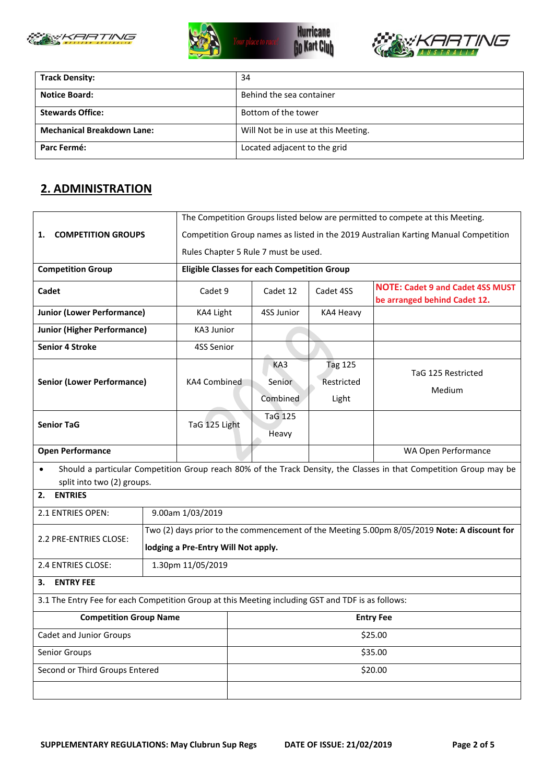





| <b>Track Density:</b>             | 34                                  |
|-----------------------------------|-------------------------------------|
| <b>Notice Board:</b>              | Behind the sea container            |
| <b>Stewards Office:</b>           | Bottom of the tower                 |
| <b>Mechanical Breakdown Lane:</b> | Will Not be in use at this Meeting. |
| Parc Fermé:                       | Located adjacent to the grid        |

### **2. ADMINISTRATION**

| <b>COMPETITION GROUPS</b><br>1.                               |                   | The Competition Groups listed below are permitted to compete at this Meeting.                                      |                                                                                             |                                       |                                                                         |  |  |  |
|---------------------------------------------------------------|-------------------|--------------------------------------------------------------------------------------------------------------------|---------------------------------------------------------------------------------------------|---------------------------------------|-------------------------------------------------------------------------|--|--|--|
|                                                               |                   | Competition Group names as listed in the 2019 Australian Karting Manual Competition                                |                                                                                             |                                       |                                                                         |  |  |  |
|                                                               |                   | Rules Chapter 5 Rule 7 must be used.                                                                               |                                                                                             |                                       |                                                                         |  |  |  |
| <b>Competition Group</b>                                      |                   | <b>Eligible Classes for each Competition Group</b>                                                                 |                                                                                             |                                       |                                                                         |  |  |  |
| Cadet                                                         |                   | Cadet 9                                                                                                            | Cadet 12                                                                                    | Cadet 4SS                             | <b>NOTE: Cadet 9 and Cadet 4SS MUST</b><br>be arranged behind Cadet 12. |  |  |  |
| <b>Junior (Lower Performance)</b>                             |                   | KA4 Light                                                                                                          | 4SS Junior                                                                                  | KA4 Heavy                             |                                                                         |  |  |  |
| <b>Junior (Higher Performance)</b>                            |                   | KA3 Junior                                                                                                         |                                                                                             |                                       |                                                                         |  |  |  |
| <b>Senior 4 Stroke</b>                                        |                   | 4SS Senior                                                                                                         |                                                                                             |                                       |                                                                         |  |  |  |
| <b>Senior (Lower Performance)</b>                             |                   | KA4 Combined                                                                                                       | KA3<br>Senior<br>Combined                                                                   | <b>Tag 125</b><br>Restricted<br>Light | TaG 125 Restricted<br>Medium                                            |  |  |  |
| <b>Senior TaG</b>                                             |                   | TaG 125 Light                                                                                                      | <b>TaG 125</b><br>Heavy                                                                     |                                       |                                                                         |  |  |  |
| <b>Open Performance</b>                                       |                   |                                                                                                                    |                                                                                             | WA Open Performance                   |                                                                         |  |  |  |
| $\bullet$<br>split into two (2) groups.                       |                   | Should a particular Competition Group reach 80% of the Track Density, the Classes in that Competition Group may be |                                                                                             |                                       |                                                                         |  |  |  |
| <b>ENTRIES</b><br>2.                                          |                   |                                                                                                                    |                                                                                             |                                       |                                                                         |  |  |  |
| 2.1 ENTRIES OPEN:                                             |                   | 9.00am 1/03/2019                                                                                                   |                                                                                             |                                       |                                                                         |  |  |  |
| 2.2 PRE-ENTRIES CLOSE:<br>lodging a Pre-Entry Will Not apply. |                   |                                                                                                                    | Two (2) days prior to the commencement of the Meeting 5.00pm 8/05/2019 Note: A discount for |                                       |                                                                         |  |  |  |
| 2.4 ENTRIES CLOSE:                                            | 1.30pm 11/05/2019 |                                                                                                                    |                                                                                             |                                       |                                                                         |  |  |  |
| <b>ENTRY FEE</b><br>з.                                        |                   |                                                                                                                    |                                                                                             |                                       |                                                                         |  |  |  |
|                                                               |                   | 3.1 The Entry Fee for each Competition Group at this Meeting including GST and TDF is as follows:                  |                                                                                             |                                       |                                                                         |  |  |  |
| <b>Competition Group Name</b>                                 |                   | <b>Entry Fee</b>                                                                                                   |                                                                                             |                                       |                                                                         |  |  |  |
| Cadet and Junior Groups                                       |                   | \$25.00                                                                                                            |                                                                                             |                                       |                                                                         |  |  |  |
| Senior Groups                                                 |                   | \$35.00                                                                                                            |                                                                                             |                                       |                                                                         |  |  |  |
| Second or Third Groups Entered                                |                   |                                                                                                                    | \$20.00                                                                                     |                                       |                                                                         |  |  |  |
|                                                               |                   |                                                                                                                    |                                                                                             |                                       |                                                                         |  |  |  |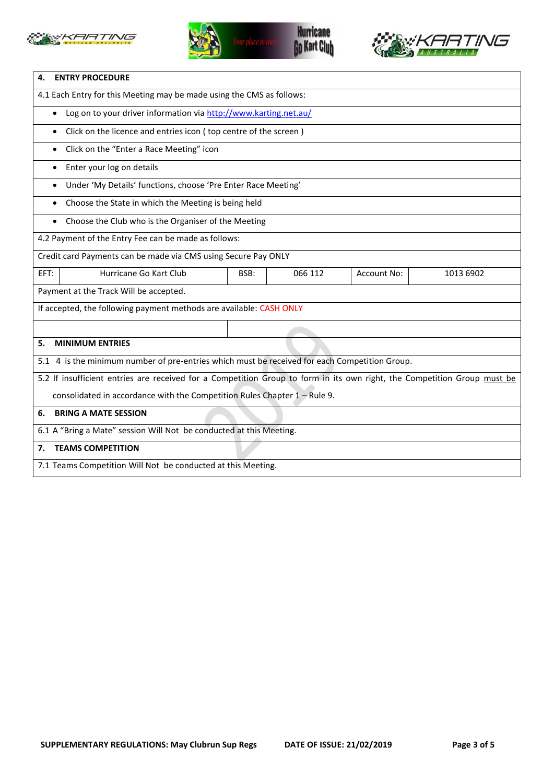





| <b>ENTRY PROCEDURE</b><br>4.                                                                                             |  |  |  |  |  |
|--------------------------------------------------------------------------------------------------------------------------|--|--|--|--|--|
| 4.1 Each Entry for this Meeting may be made using the CMS as follows:                                                    |  |  |  |  |  |
| Log on to your driver information via http://www.karting.net.au/<br>$\bullet$                                            |  |  |  |  |  |
| Click on the licence and entries icon (top centre of the screen)<br>$\bullet$                                            |  |  |  |  |  |
| Click on the "Enter a Race Meeting" icon<br>$\bullet$                                                                    |  |  |  |  |  |
| Enter your log on details<br>$\bullet$                                                                                   |  |  |  |  |  |
| Under 'My Details' functions, choose 'Pre Enter Race Meeting'<br>$\bullet$                                               |  |  |  |  |  |
| Choose the State in which the Meeting is being held                                                                      |  |  |  |  |  |
| Choose the Club who is the Organiser of the Meeting<br>$\bullet$                                                         |  |  |  |  |  |
| 4.2 Payment of the Entry Fee can be made as follows:                                                                     |  |  |  |  |  |
| Credit card Payments can be made via CMS using Secure Pay ONLY                                                           |  |  |  |  |  |
| Hurricane Go Kart Club<br>066 112<br>1013 6902<br>EFT:<br>BSB:<br><b>Account No:</b>                                     |  |  |  |  |  |
| Payment at the Track Will be accepted.                                                                                   |  |  |  |  |  |
| If accepted, the following payment methods are available: CASH ONLY                                                      |  |  |  |  |  |
|                                                                                                                          |  |  |  |  |  |
| <b>MINIMUM ENTRIES</b><br>5.                                                                                             |  |  |  |  |  |
| 5.1 4 is the minimum number of pre-entries which must be received for each Competition Group.                            |  |  |  |  |  |
| 5.2 If insufficient entries are received for a Competition Group to form in its own right, the Competition Group must be |  |  |  |  |  |
| consolidated in accordance with the Competition Rules Chapter $1 -$ Rule 9.                                              |  |  |  |  |  |
| <b>BRING A MATE SESSION</b><br>6.                                                                                        |  |  |  |  |  |
| 6.1 A "Bring a Mate" session Will Not be conducted at this Meeting.                                                      |  |  |  |  |  |
| <b>TEAMS COMPETITION</b><br>7.                                                                                           |  |  |  |  |  |
| 7.1 Teams Competition Will Not be conducted at this Meeting.                                                             |  |  |  |  |  |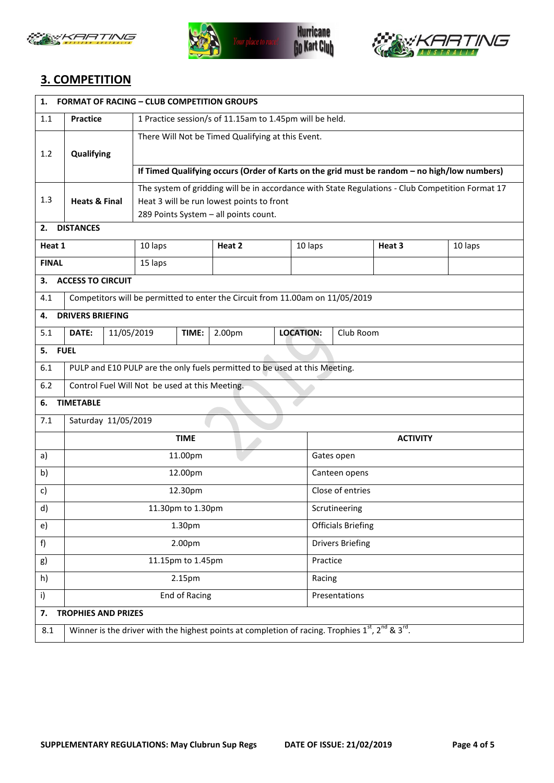





## **3. COMPETITION**

| 1.                     | <b>FORMAT OF RACING - CLUB COMPETITION GROUPS</b>                          |            |                                                                                                  |       |                                                                                                                 |                  |                           |           |         |  |
|------------------------|----------------------------------------------------------------------------|------------|--------------------------------------------------------------------------------------------------|-------|-----------------------------------------------------------------------------------------------------------------|------------------|---------------------------|-----------|---------|--|
| 1.1                    | 1 Practice session/s of 11.15am to 1.45pm will be held.<br><b>Practice</b> |            |                                                                                                  |       |                                                                                                                 |                  |                           |           |         |  |
|                        |                                                                            |            | There Will Not be Timed Qualifying at this Event.                                                |       |                                                                                                                 |                  |                           |           |         |  |
| 1.2                    | Qualifying                                                                 |            |                                                                                                  |       |                                                                                                                 |                  |                           |           |         |  |
|                        |                                                                            |            | If Timed Qualifying occurs (Order of Karts on the grid must be random - no high/low numbers)     |       |                                                                                                                 |                  |                           |           |         |  |
|                        |                                                                            |            | The system of gridding will be in accordance with State Regulations - Club Competition Format 17 |       |                                                                                                                 |                  |                           |           |         |  |
| 1.3                    | <b>Heats &amp; Final</b>                                                   |            | Heat 3 will be run lowest points to front<br>289 Points System - all points count.               |       |                                                                                                                 |                  |                           |           |         |  |
| 2.                     | <b>DISTANCES</b>                                                           |            |                                                                                                  |       |                                                                                                                 |                  |                           |           |         |  |
| Heat 1                 |                                                                            |            | 10 laps                                                                                          |       | Heat 2                                                                                                          | 10 laps          |                           | Heat 3    | 10 laps |  |
| <b>FINAL</b>           |                                                                            |            | 15 laps                                                                                          |       |                                                                                                                 |                  |                           |           |         |  |
| З.                     | <b>ACCESS TO CIRCUIT</b>                                                   |            |                                                                                                  |       |                                                                                                                 |                  |                           |           |         |  |
| 4.1                    |                                                                            |            |                                                                                                  |       | Competitors will be permitted to enter the Circuit from 11.00am on 11/05/2019                                   |                  |                           |           |         |  |
| 4.                     | <b>DRIVERS BRIEFING</b>                                                    |            |                                                                                                  |       |                                                                                                                 |                  |                           |           |         |  |
| 5.1                    | DATE:                                                                      | 11/05/2019 |                                                                                                  | TIME: | 2.00pm                                                                                                          | <b>LOCATION:</b> |                           | Club Room |         |  |
| 5.                     | <b>FUEL</b>                                                                |            |                                                                                                  |       |                                                                                                                 |                  |                           |           |         |  |
| 6.1                    | PULP and E10 PULP are the only fuels permitted to be used at this Meeting. |            |                                                                                                  |       |                                                                                                                 |                  |                           |           |         |  |
| 6.2                    | Control Fuel Will Not be used at this Meeting.                             |            |                                                                                                  |       |                                                                                                                 |                  |                           |           |         |  |
| <b>TIMETABLE</b><br>6. |                                                                            |            |                                                                                                  |       |                                                                                                                 |                  |                           |           |         |  |
| 7.1                    | Saturday 11/05/2019                                                        |            |                                                                                                  |       |                                                                                                                 |                  |                           |           |         |  |
|                        | <b>TIME</b>                                                                |            |                                                                                                  |       |                                                                                                                 |                  | <b>ACTIVITY</b>           |           |         |  |
| a)                     | 11.00pm                                                                    |            |                                                                                                  |       |                                                                                                                 |                  | Gates open                |           |         |  |
| b)                     | 12.00pm                                                                    |            |                                                                                                  |       |                                                                                                                 |                  | Canteen opens             |           |         |  |
| c)                     | 12.30pm                                                                    |            |                                                                                                  |       |                                                                                                                 |                  | Close of entries          |           |         |  |
| d)                     | 11.30pm to 1.30pm                                                          |            |                                                                                                  |       |                                                                                                                 |                  | Scrutineering             |           |         |  |
| e)                     | 1.30pm                                                                     |            |                                                                                                  |       |                                                                                                                 |                  | <b>Officials Briefing</b> |           |         |  |
| f)                     | 2.00pm                                                                     |            |                                                                                                  |       |                                                                                                                 |                  | <b>Drivers Briefing</b>   |           |         |  |
| g)                     | 11.15pm to 1.45pm                                                          |            |                                                                                                  |       |                                                                                                                 |                  | Practice                  |           |         |  |
| h)                     | 2.15pm<br>Racing                                                           |            |                                                                                                  |       |                                                                                                                 |                  |                           |           |         |  |
| i)                     | <b>End of Racing</b><br>Presentations                                      |            |                                                                                                  |       |                                                                                                                 |                  |                           |           |         |  |
| 7.                     | <b>TROPHIES AND PRIZES</b>                                                 |            |                                                                                                  |       |                                                                                                                 |                  |                           |           |         |  |
| 8.1                    |                                                                            |            |                                                                                                  |       | Winner is the driver with the highest points at completion of racing. Trophies $1^{st}$ , $2^{nd}$ & $3^{rd}$ . |                  |                           |           |         |  |